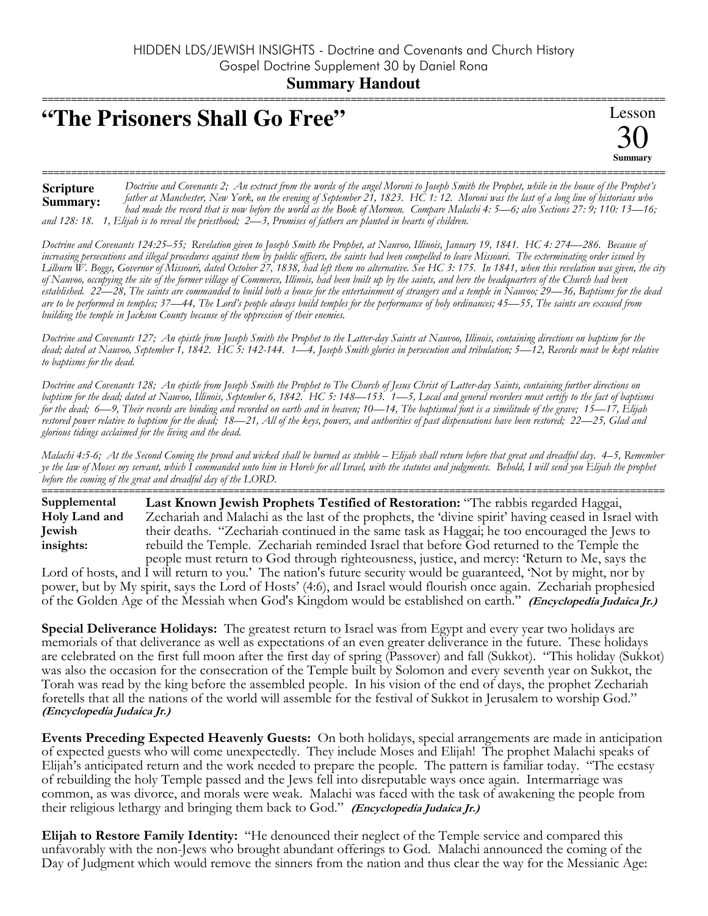## "The Prisoners Shall Go Free"

Lesson Summary

Doctrine and Covenants 2; An extract from the words of the angel Moroni to Joseph Smith the Prophet, while in the house of the Prophet's **Scripture** father at Manchester, New York, on the evening of September 21, 1823. HC 1:12. Moroni was the last of a long line of historians who Summary: had made the record that is now before the world as the Book of Mormon. Compare Malachi 4: 5—6; also Sections 27: 9; 110: 13—16; and 128: 18. 1, Elijah is to reveal the priesthood;  $2-3$ , Promises of fathers are planted in hearts of children.

Doctrine and Covenants 124:25–55; Revelation given to Joseph Smith the Prophet, at Nauvoo, Illinois, January 19, 1841. HC 4: 274–286. Because of increasing persecutions and illegal procedures against them by public officers, the saints had been compelled to leave Missouri. The exterminating order issued by Lilburn W. Boggs, Governor of Missouri, dated October 27, 1838, had left them no alternative. See HC 3: 175. In 1841, when this revelation was given, the city of Nauvoo, occupying the site of the former village of Commerce, Illinois, had been built up by the saints, and here the headquarters of the Church had been established. 22—28, The saints are commanded to build both a house for the entertainment of strangers and a temple in Nauvoo; 29—36, Baptisms for the dead are to be performed in temples; 37—44, The Lord's people always build temples for the performance of holy ordinances; 45—55, The saints are excused from building the temple in Jackson County because of the oppression of their enemies.

Doctrine and Covenants 127; An epistle from Joseph Smith the Prophet to the Latter-day Saints at Nauvoo, Illinois, containing directions on baptism for the dead; dated at Nauvoo, September 1, 1842. HC 5: 142-144. 1-4, Joseph Smith glories in persecution and tribulation; 5-12, Records must be kept relative to baptisms for the dead.

Doctrine and Covenants 128; An epistle from Joseph Smith the Prophet to The Church of Jesus Christ of Latter-day Saints, containing further directions on baptism for the dead; dated at Nauvoo, Illinois, September 6, 1842. HC 5: 148—153. 1—5, Local and general recorders must certify to the fact of baptisms for the dead; 6–9, Their records are binding and recorded on earth and in heaven; 10–14. The baptismal font is a similitude of the grave;  $15-17$ ,  $\dot{E}$ lijah restored power relative to baptism for the dead; 18—21, All of the keys, powers, and authorities of past dispensations have been restored; 22—25, Glad and glorious tidings acclaimed for the living and the dead.

Malachi 4:5-6; At the Second Coming the proud and wicked shall be burned as stubble – Elijah shall return before that great and dreadful day. 4–5, Remember ye the law of Moses my servant, which I commanded unto him in Horeb for all Israel, with the statutes and judgments. Behold, I will send you Elijah the prophet before the coming of the great and dreadful day of the LORD.

Supplemental Last Known Jewish Prophets Testified of Restoration: "The rabbis regarded Haggai, Holy Land and Zechariah and Malachi as the last of the prophets, the 'divine spirit' having ceased in Israel with **Iewish** their deaths. "Zechariah continued in the same task as Haggai; he too encouraged the Jews to rebuild the Temple. Zechariah reminded Israel that before God returned to the Temple the insights: people must return to God through righteousness, justice, and mercy: 'Return to Me, says the

Lord of hosts, and I will return to you.' The nation's future security would be guaranteed, 'Not by might, nor by power, but by My spirit, says the Lord of Hosts' (4:6), and Israel would flourish once again. Zechariah prophesied of the Golden Age of the Messiah when God's Kingdom would be established on earth." (Encyclopedia Judaica Ir.)

Special Deliverance Holidays: The greatest return to Israel was from Egypt and every year two holidays are memorials of that deliverance as well as expectations of an even greater deliverance in the future. These holidays are celebrated on the first full moon after the first day of spring (Passover) and fall (Sukkot). "This holiday (Sukkot) was also the occasion for the consecration of the Temple built by Solomon and every seventh year on Sukkot, the Torah was read by the king before the assembled people. In his vision of the end of days, the prophet Zechariah foretells that all the nations of the world will assemble for the festival of Sukkot in Jerusalem to worship God." (Encyclopedia Judaica Jr.)

Events Preceding Expected Heavenly Guests: On both holidays, special arrangements are made in anticipation of expected guests who will come unexpectedly. They include Moses and Elijah! The prophet Malachi speaks of Elijah's anticipated return and the work needed to prepare the people. The pattern is familiar today. "The ecstasy of rebuilding the holy Temple passed and the Jews fell into disreputable ways once again. Intermarriage was common, as was divorce, and morals were weak. Malachi was faced with the task of awakening the people from their religious lethargy and bringing them back to God." (Encyclopedia Judaica Jr.)

Elijah to Restore Family Identity: "He denounced their neglect of the Temple service and compared this unfavorably with the non-Jews who brought abundant offerings to God. Malachi announced the coming of the Day of Judgment which would remove the sinners from the nation and thus clear the way for the Messianic Age: